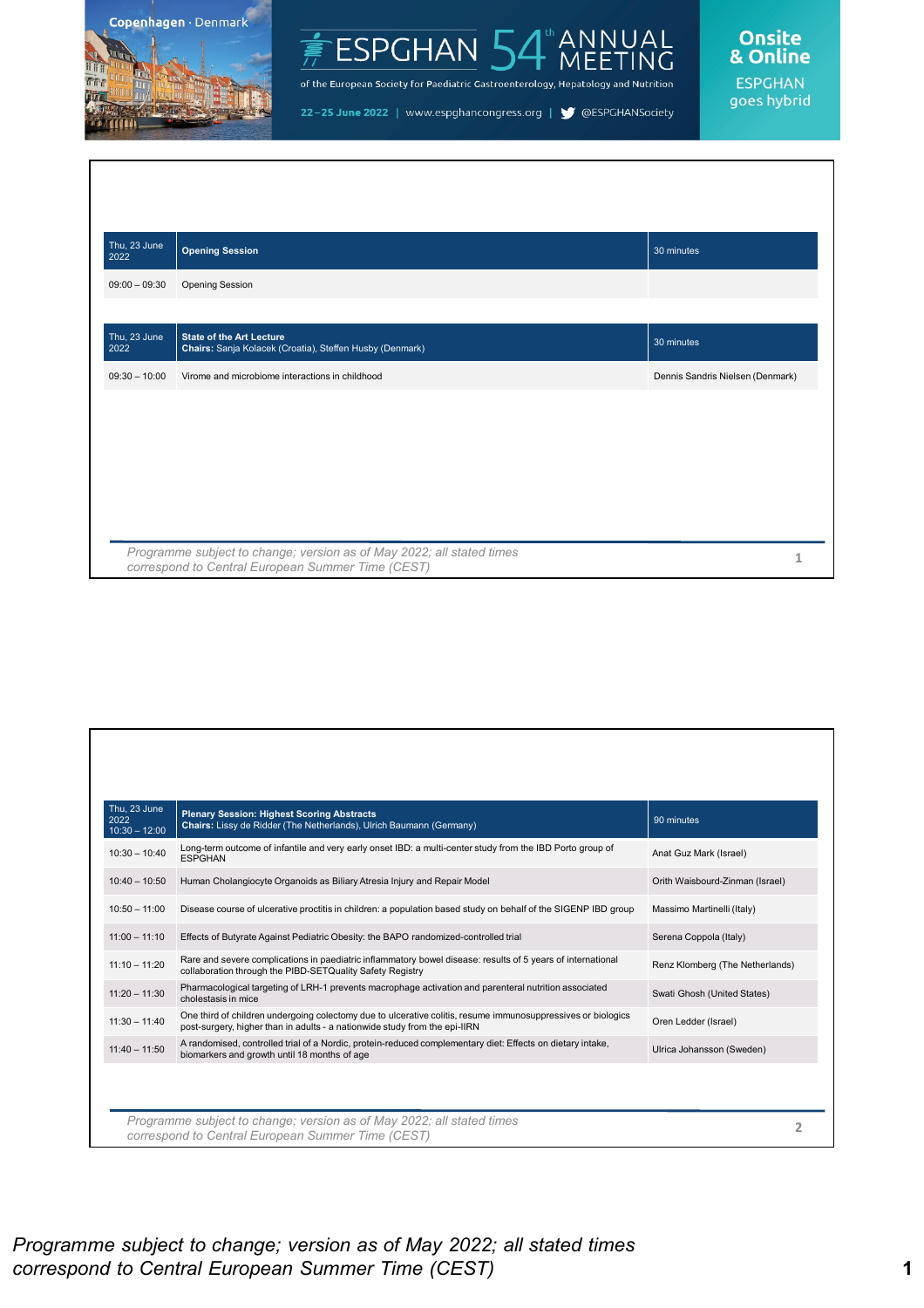



of the European Society for Paediatric Gastroenterology, Hepatology and Nutrition

22-25 June 2022 | www.espghancongress.org | S @ESPGHANSociety



goes hybrid

| Thu, 23 June<br>2022 | <b>Opening Session</b>                                                                                                     | 30 minutes                       |
|----------------------|----------------------------------------------------------------------------------------------------------------------------|----------------------------------|
| $09:00 - 09:30$      | <b>Opening Session</b>                                                                                                     |                                  |
|                      |                                                                                                                            |                                  |
| Thu, 23 June<br>2022 | <b>State of the Art Lecture</b><br>Chairs: Sanja Kolacek (Croatia), Steffen Husby (Denmark)                                | $30$ minutes                     |
| $09:30 - 10:00$      | Virome and microbiome interactions in childhood                                                                            | Dennis Sandris Nielsen (Denmark) |
|                      |                                                                                                                            |                                  |
|                      |                                                                                                                            |                                  |
|                      |                                                                                                                            |                                  |
|                      |                                                                                                                            |                                  |
|                      |                                                                                                                            |                                  |
|                      | Programme subject to change; version as of May 2022; all stated times<br>correspond to Central European Summer Time (CEST) |                                  |

| Thu, 23 June<br>2022<br>$10:30 - 12:00$ | <b>Plenary Session: Highest Scoring Abstracts</b><br>Chairs: Lissy de Ridder (The Netherlands), Ulrich Baumann (Germany)                                                                   | 90 minutes                      |
|-----------------------------------------|--------------------------------------------------------------------------------------------------------------------------------------------------------------------------------------------|---------------------------------|
| $10:30 - 10:40$                         | Long-term outcome of infantile and very early onset IBD: a multi-center study from the IBD Porto group of<br><b>ESPGHAN</b>                                                                | Anat Guz Mark (Israel)          |
| $10:40 - 10:50$                         | Human Cholangiocyte Organoids as Biliary Atresia Injury and Repair Model                                                                                                                   | Orith Waisbourd-Zinman (Israel) |
| $10:50 - 11:00$                         | Disease course of ulcerative proctitis in children: a population based study on behalf of the SIGENP IBD group                                                                             | Massimo Martinelli (Italy)      |
| $11:00 - 11:10$                         | Effects of Butyrate Against Pediatric Obesity: the BAPO randomized-controlled trial                                                                                                        | Serena Coppola (Italy)          |
| $11:10 - 11:20$                         | Rare and severe complications in paediatric inflammatory bowel disease: results of 5 years of international<br>collaboration through the PIBD-SETQuality Safety Registry                   | Renz Klomberg (The Netherlands) |
| $11:20 - 11:30$                         | Pharmacological targeting of LRH-1 prevents macrophage activation and parenteral nutrition associated<br>cholestasis in mice                                                               | Swati Ghosh (United States)     |
| $11:30 - 11:40$                         | One third of children undergoing colectomy due to ulcerative colitis, resume immunosuppressives or biologics<br>post-surgery, higher than in adults - a nationwide study from the epi-IIRN | Oren Ledder (Israel)            |
| $11:40 - 11:50$                         | A randomised, controlled trial of a Nordic, protein-reduced complementary diet: Effects on dietary intake,<br>biomarkers and growth until 18 months of age                                 | Ulrica Johansson (Sweden)       |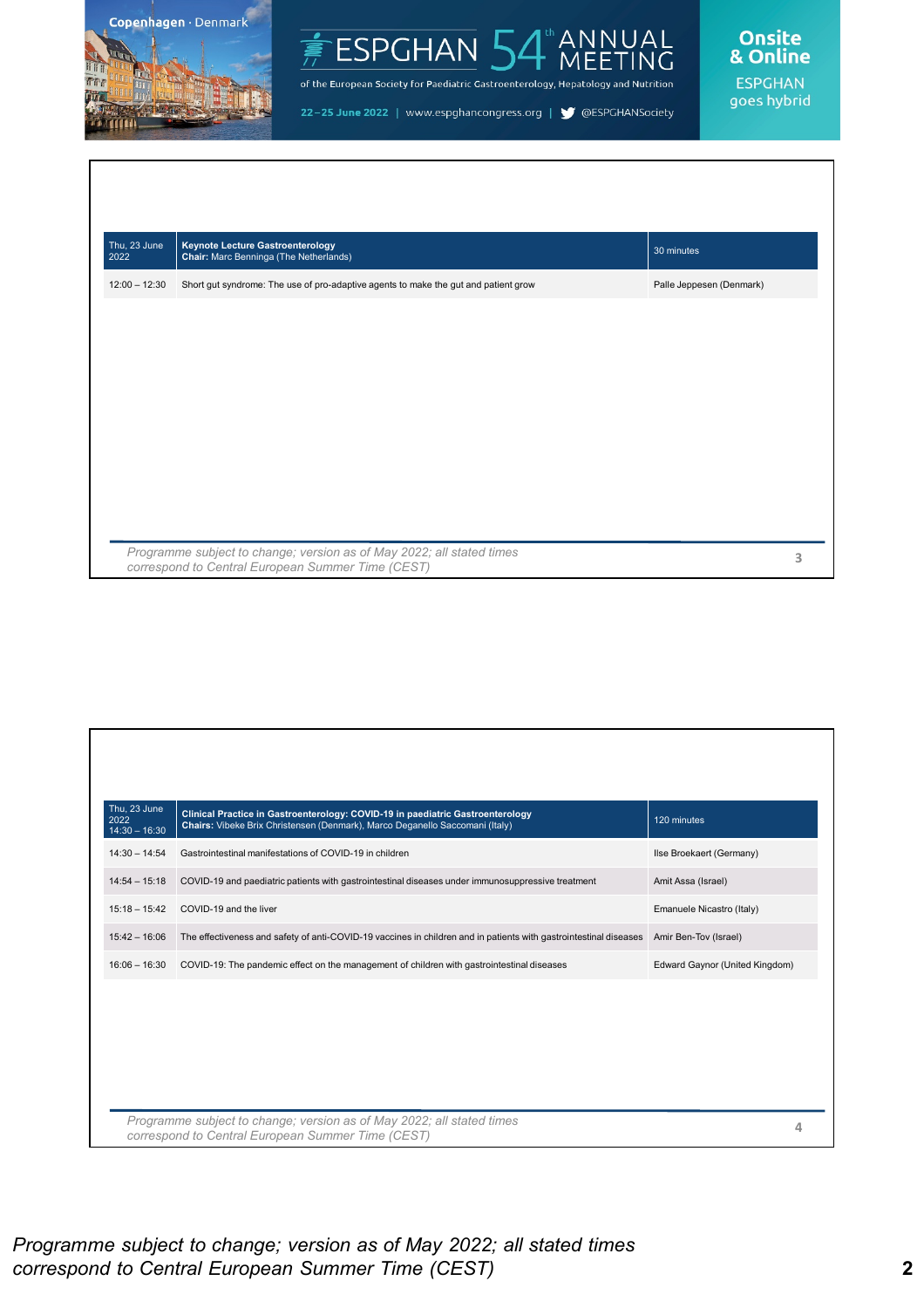



of the European Society for Paediatric Gastroenterology, Hepatology and Nutrition

22-25 June 2022 | www.espghancongress.org | S @ESPGHANSociety

Onsite<br>& Online **ESPGHAN** 

goes hybrid

| Thu, 23 June<br>2022 | <b>Keynote Lecture Gastroenterology</b><br>Chair: Marc Benninga (The Netherlands)   | 30 minutes               |
|----------------------|-------------------------------------------------------------------------------------|--------------------------|
| $12:00 - 12:30$      | Short gut syndrome: The use of pro-adaptive agents to make the gut and patient grow | Palle Jeppesen (Denmark) |
|                      |                                                                                     |                          |
|                      |                                                                                     |                          |
|                      |                                                                                     |                          |
|                      |                                                                                     |                          |
|                      |                                                                                     |                          |
|                      |                                                                                     |                          |
|                      |                                                                                     |                          |
|                      |                                                                                     |                          |

| Thu, 23 June<br>2022<br>$14:30 - 16:30$           | Clinical Practice in Gastroenterology: COVID-19 in paediatric Gastroenterology<br>Chairs: Vibeke Brix Christensen (Denmark), Marco Deganello Saccomani (Italy) | 120 minutes                    |  |
|---------------------------------------------------|----------------------------------------------------------------------------------------------------------------------------------------------------------------|--------------------------------|--|
| $14:30 - 14:54$                                   | Gastrointestinal manifestations of COVID-19 in children                                                                                                        | Ilse Broekaert (Germany)       |  |
| $14:54 - 15:18$                                   | COVID-19 and paediatric patients with gastrointestinal diseases under immunosuppressive treatment                                                              | Amit Assa (Israel)             |  |
| $15:18 - 15:42$                                   | COVID-19 and the liver                                                                                                                                         | Emanuele Nicastro (Italy)      |  |
| $15:42 - 16:06$                                   | The effectiveness and safety of anti-COVID-19 vaccines in children and in patients with gastrointestinal diseases                                              | Amir Ben-Tov (Israel)          |  |
| $16:06 - 16:30$                                   | COVID-19: The pandemic effect on the management of children with gastrointestinal diseases                                                                     | Edward Gaynor (United Kingdom) |  |
|                                                   |                                                                                                                                                                |                                |  |
|                                                   |                                                                                                                                                                |                                |  |
|                                                   |                                                                                                                                                                |                                |  |
|                                                   |                                                                                                                                                                |                                |  |
|                                                   | Programme subject to change; version as of May 2022; all stated times                                                                                          |                                |  |
| correspond to Central European Summer Time (CEST) |                                                                                                                                                                |                                |  |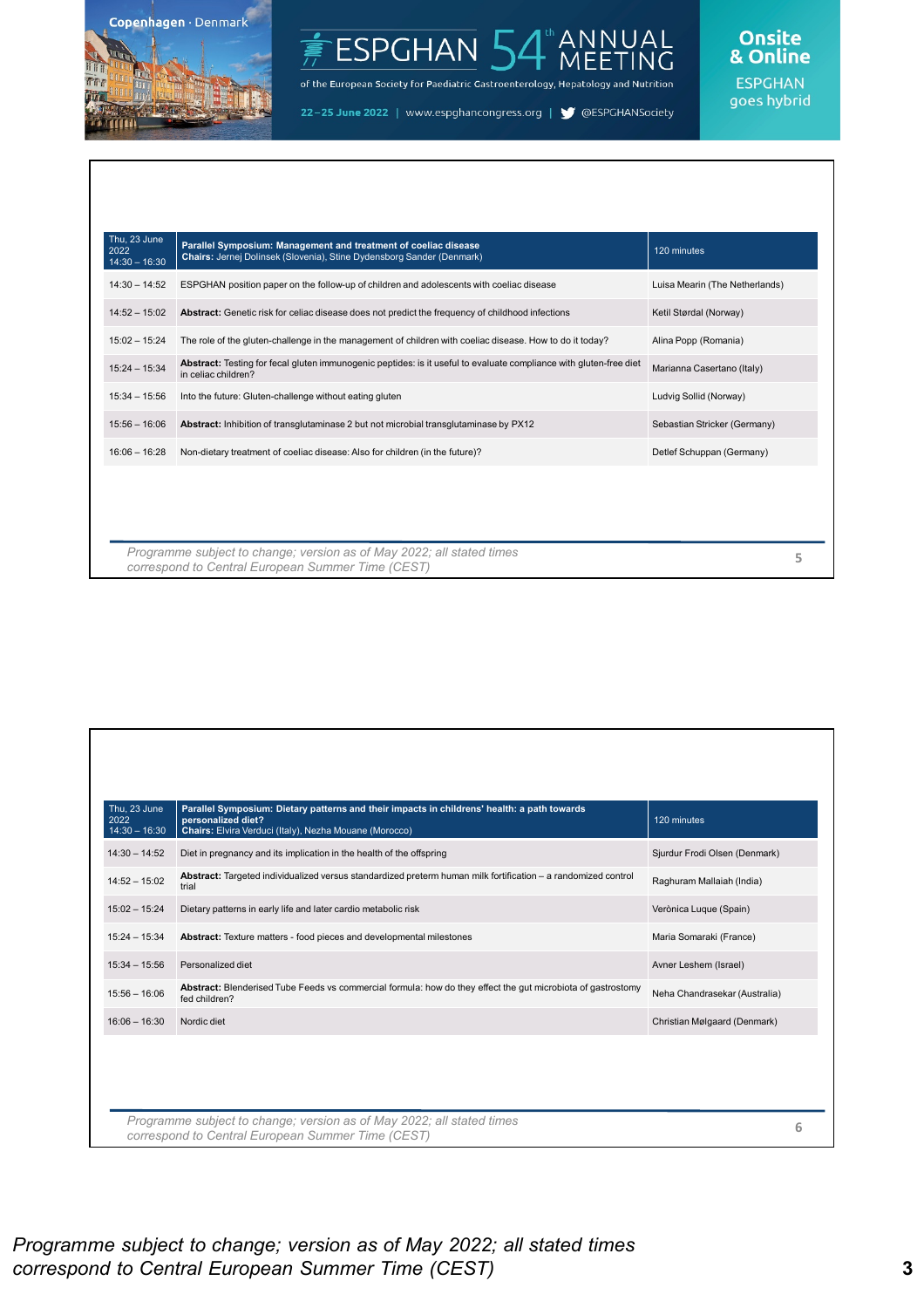

#### ANNUAL<br>MEETING ESPGHAN<sup>1</sup>

of the European Society for Paediatric Gastroenterology, Hepatology and Nutrition

22-25 June 2022 | www.espghancongress.org | S @ESPGHANSociety

# Onsite<br>& Online

| Thu, 23 June<br>2022<br>$14:30 - 16:30$ | Parallel Symposium: Management and treatment of coeliac disease<br>Chairs: Jernej Dolinsek (Slovenia), Stine Dydensborg Sander (Denmark)  | 120 minutes                    |   |
|-----------------------------------------|-------------------------------------------------------------------------------------------------------------------------------------------|--------------------------------|---|
| $14:30 - 14:52$                         | ESPGHAN position paper on the follow-up of children and adolescents with coeliac disease                                                  | Luisa Mearin (The Netherlands) |   |
| $14:52 - 15:02$                         | <b>Abstract:</b> Genetic risk for celiac disease does not predict the frequency of childhood infections                                   | Ketil Størdal (Norway)         |   |
| $15:02 - 15:24$                         | The role of the gluten-challenge in the management of children with coeliac disease. How to do it today?                                  | Alina Popp (Romania)           |   |
| $15:24 - 15:34$                         | Abstract: Testing for fecal gluten immunogenic peptides: is it useful to evaluate compliance with gluten-free diet<br>in celiac children? | Marianna Casertano (Italy)     |   |
| $15:34 - 15:56$                         | Into the future: Gluten-challenge without eating gluten                                                                                   | Ludvig Sollid (Norway)         |   |
| $15:56 - 16:06$                         | Abstract: Inhibition of transqlutaminase 2 but not microbial transqlutaminase by PX12                                                     | Sebastian Stricker (Germany)   |   |
| $16:06 - 16:28$                         | Non-dietary treatment of coeliac disease: Also for children (in the future)?                                                              | Detlef Schuppan (Germany)      |   |
|                                         |                                                                                                                                           |                                |   |
|                                         |                                                                                                                                           |                                |   |
|                                         | Programme subject to change; version as of May 2022; all stated times<br>correspond to Central European Summer Time (CEST)                |                                | 5 |

| Diet in pregnancy and its implication in the health of the offspring<br>Abstract: Targeted individualized versus standardized preterm human milk fortification - a randomized control<br>trial<br>Dietary patterns in early life and later cardio metabolic risk<br>Abstract: Texture matters - food pieces and developmental milestones<br>Personalized diet | Sjurdur Frodi Olsen (Denmark)<br>Raghuram Mallaiah (India)<br>Verònica Luque (Spain)<br>Maria Somaraki (France)<br>Avner Leshem (Israel) |  |
|---------------------------------------------------------------------------------------------------------------------------------------------------------------------------------------------------------------------------------------------------------------------------------------------------------------------------------------------------------------|------------------------------------------------------------------------------------------------------------------------------------------|--|
|                                                                                                                                                                                                                                                                                                                                                               |                                                                                                                                          |  |
|                                                                                                                                                                                                                                                                                                                                                               |                                                                                                                                          |  |
|                                                                                                                                                                                                                                                                                                                                                               |                                                                                                                                          |  |
|                                                                                                                                                                                                                                                                                                                                                               |                                                                                                                                          |  |
|                                                                                                                                                                                                                                                                                                                                                               |                                                                                                                                          |  |
| Abstract: Blenderised Tube Feeds vs commercial formula: how do they effect the gut microbiota of gastrostomy<br>fed children?                                                                                                                                                                                                                                 | Neha Chandrasekar (Australia)                                                                                                            |  |
| Nordic diet                                                                                                                                                                                                                                                                                                                                                   | Christian Mølgaard (Denmark)                                                                                                             |  |
|                                                                                                                                                                                                                                                                                                                                                               |                                                                                                                                          |  |
|                                                                                                                                                                                                                                                                                                                                                               | Programme subject to change; version as of May 2022; all stated times                                                                    |  |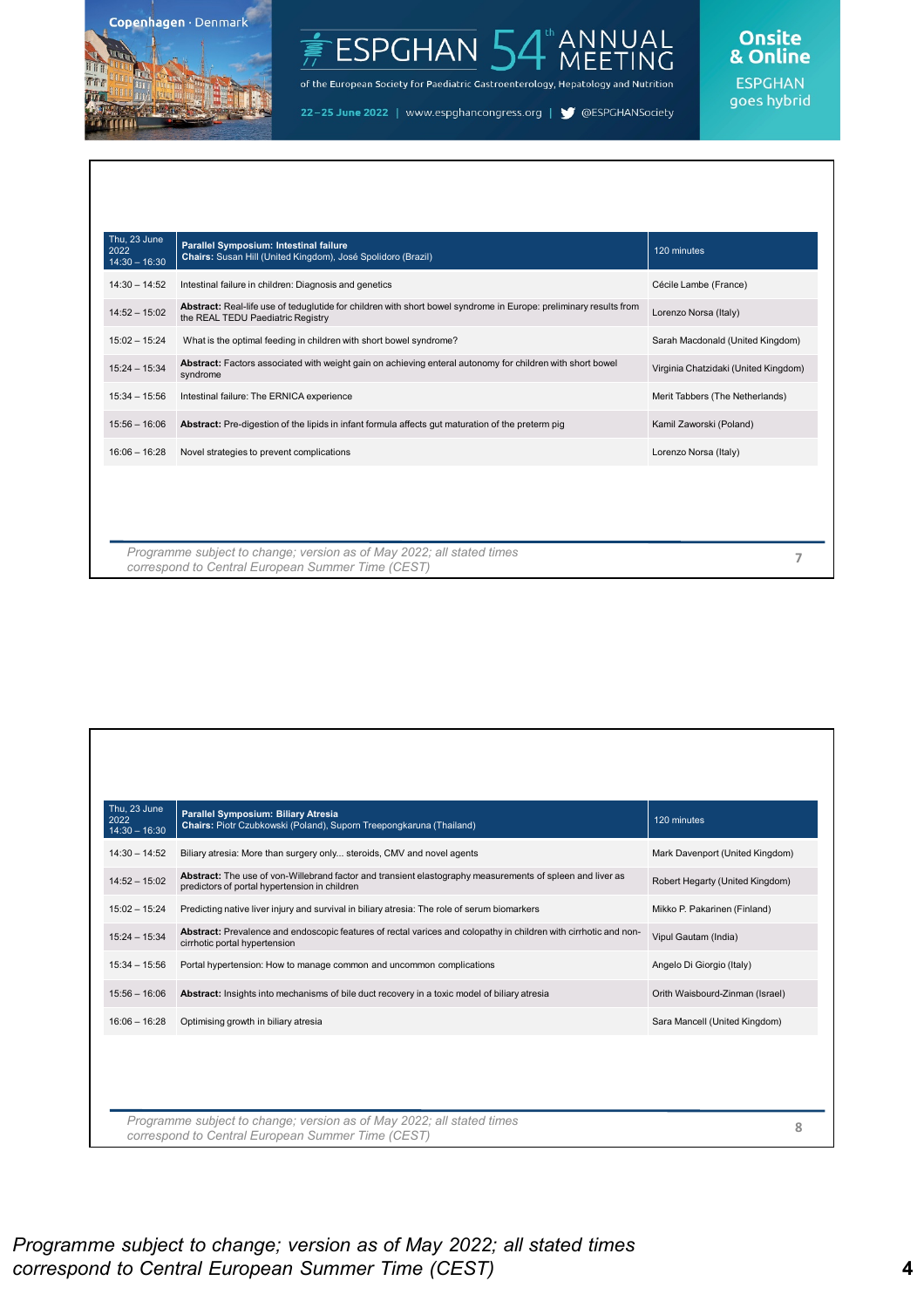

#### ANNUAL<br>MEETING ESPGHAN<sup>I</sup>

of the European Society for Paediatric Gastroenterology, Hepatology and Nutrition

22-25 June 2022 | www.espghancongress.org | S @ESPGHANSociety

### Onsite<br>& Online

| Thu, 23 June<br>2022<br>$14:30 - 16:30$ | Parallel Symposium: Intestinal failure<br>Chairs: Susan Hill (United Kingdom), José Spolidoro (Brazil)                                                 | 120 minutes                          |
|-----------------------------------------|--------------------------------------------------------------------------------------------------------------------------------------------------------|--------------------------------------|
| $14:30 - 14:52$                         | Intestinal failure in children: Diagnosis and genetics                                                                                                 | Cécile Lambe (France)                |
| $14:52 - 15:02$                         | Abstract: Real-life use of teduglutide for children with short bowel syndrome in Europe: preliminary results from<br>the REAL TEDU Paediatric Registry | Lorenzo Norsa (Italy)                |
| $15:02 - 15:24$                         | What is the optimal feeding in children with short bowel syndrome?                                                                                     | Sarah Macdonald (United Kingdom)     |
| $15:24 - 15:34$                         | Abstract: Factors associated with weight gain on achieving enteral autonomy for children with short bowel<br>syndrome                                  | Virginia Chatzidaki (United Kingdom) |
| $15:34 - 15:56$                         | Intestinal failure: The ERNICA experience                                                                                                              | Merit Tabbers (The Netherlands)      |
| $15:56 - 16:06$                         | Abstract: Pre-digestion of the lipids in infant formula affects gut maturation of the preterm pig                                                      | Kamil Zaworski (Poland)              |
| $16:06 - 16:28$                         | Novel strategies to prevent complications                                                                                                              | Lorenzo Norsa (Italy)                |
|                                         |                                                                                                                                                        |                                      |
|                                         | Programme subject to change; version as of May 2022; all stated times<br>correspond to Central European Summer Time (CEST)                             |                                      |

| Thu, 23 June<br>2022               | <b>Parallel Symposium: Biliary Atresia</b><br>Chairs: Piotr Czubkowski (Poland), Suporn Treepongkaruna (Thailand)                                          | 120 minutes                     |   |
|------------------------------------|------------------------------------------------------------------------------------------------------------------------------------------------------------|---------------------------------|---|
| $14:30 - 16:30$<br>$14:30 - 14:52$ | Biliary atresia: More than surgery only steroids, CMV and novel agents                                                                                     | Mark Davenport (United Kingdom) |   |
| $14:52 - 15:02$                    | Abstract: The use of von-Willebrand factor and transient elastography measurements of spleen and liver as<br>predictors of portal hypertension in children | Robert Hegarty (United Kingdom) |   |
| $15:02 - 15:24$                    | Predicting native liver injury and survival in biliary atresia: The role of serum biomarkers                                                               | Mikko P. Pakarinen (Finland)    |   |
| $15:24 - 15:34$                    | Abstract: Prevalence and endoscopic features of rectal varices and colopathy in children with cirrhotic and non-<br>cirrhotic portal hypertension          | Vipul Gautam (India)            |   |
| $15:34 - 15:56$                    | Portal hypertension: How to manage common and uncommon complications                                                                                       | Angelo Di Giorgio (Italy)       |   |
| $15:56 - 16:06$                    | Abstract: Insights into mechanisms of bile duct recovery in a toxic model of biliary atresia                                                               | Orith Waisbourd-Zinman (Israel) |   |
| $16:06 - 16:28$                    | Optimising growth in biliary atresia                                                                                                                       | Sara Mancell (United Kingdom)   |   |
|                                    |                                                                                                                                                            |                                 |   |
|                                    |                                                                                                                                                            |                                 |   |
|                                    | Programme subject to change; version as of May 2022; all stated times                                                                                      |                                 |   |
|                                    | correspond to Central European Summer Time (CEST)                                                                                                          |                                 | 8 |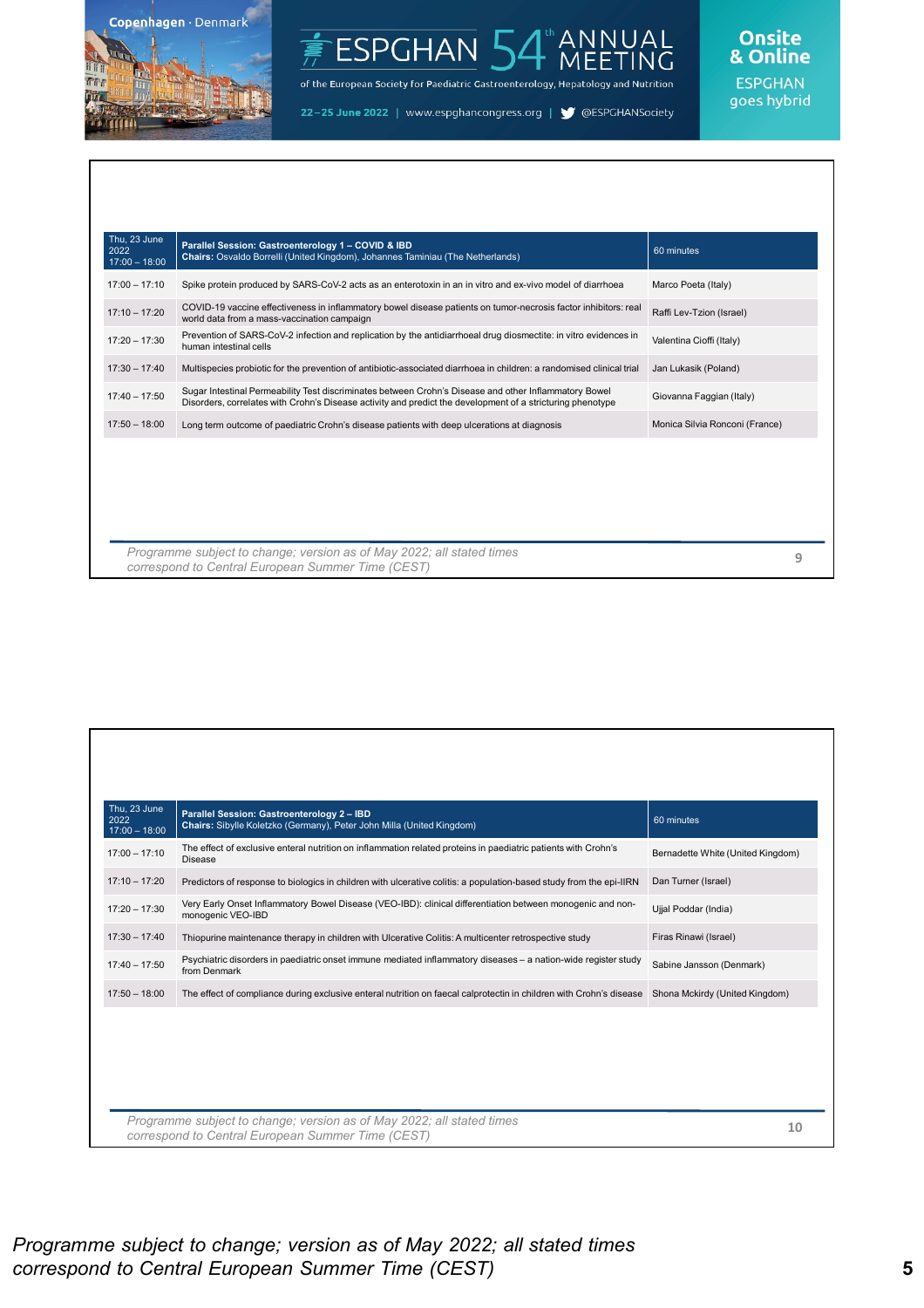

#### ANNUAL<br>MEETING ESPGHAN<sup>I</sup>

of the European Society for Paediatric Gastroenterology, Hepatology and Nutrition

22-25 June 2022 | www.espghancongress.org | S @ESPGHANSociety

### Onsite<br>& Online

| Thu, 23 June<br>2022<br>$17:00 - 18:00$ | Parallel Session: Gastroenterology 1 - COVID & IBD<br>Chairs: Osvaldo Borrelli (United Kingdom), Johannes Taminiau (The Netherlands)                                                                                | 60 minutes                     |   |
|-----------------------------------------|---------------------------------------------------------------------------------------------------------------------------------------------------------------------------------------------------------------------|--------------------------------|---|
| $17:00 - 17:10$                         | Spike protein produced by SARS-CoV-2 acts as an enterotoxin in an in vitro and ex-vivo model of diarrhoea                                                                                                           | Marco Poeta (Italy)            |   |
| $17:10 - 17:20$                         | COVID-19 vaccine effectiveness in inflammatory bowel disease patients on tumor-necrosis factor inhibitors: real<br>world data from a mass-vaccination campaign                                                      | Raffi Lev-Tzion (Israel)       |   |
| $17:20 - 17:30$                         | Prevention of SARS-CoV-2 infection and replication by the antidiarrhoeal drug diosmectite: in vitro evidences in<br>human intestinal cells                                                                          | Valentina Cioffi (Italy)       |   |
| $17:30 - 17:40$                         | Multispecies probiotic for the prevention of antibiotic-associated diarrhoea in children: a randomised clinical trial                                                                                               | Jan Lukasik (Poland)           |   |
| $17:40 - 17:50$                         | Sugar Intestinal Permeability Test discriminates between Crohn's Disease and other Inflammatory Bowel<br>Disorders, correlates with Crohn's Disease activity and predict the development of a stricturing phenotype | Giovanna Faggian (Italy)       |   |
| $17:50 - 18:00$                         | Long term outcome of paediatric Crohn's disease patients with deep ulcerations at diagnosis                                                                                                                         | Monica Silvia Ronconi (France) |   |
|                                         |                                                                                                                                                                                                                     |                                |   |
|                                         | Programme subject to change; version as of May 2022; all stated times                                                                                                                                               |                                | 9 |

| Thu, 23 June<br>2022               | Parallel Session: Gastroenterology 2 - IBD<br>Chairs: Sibylle Koletzko (Germany), Peter John Milla (United Kingdom)                                | 60 minutes                        |
|------------------------------------|----------------------------------------------------------------------------------------------------------------------------------------------------|-----------------------------------|
| $17:00 - 18:00$<br>$17:00 - 17:10$ | The effect of exclusive enteral nutrition on inflammation related proteins in paediatric patients with Crohn's<br>Disease                          | Bernadette White (United Kingdom) |
| $17:10 - 17:20$                    | Predictors of response to biologics in children with ulcerative colitis: a population-based study from the epi-IIRN                                | Dan Turner (Israel)               |
| $17:20 - 17:30$                    | Very Early Onset Inflammatory Bowel Disease (VEO-IBD): clinical differentiation between monogenic and non-<br>monogenic VEO-IBD                    | Ujjal Poddar (India)              |
| $17:30 - 17:40$                    | Thiopurine maintenance therapy in children with Ulcerative Colitis: A multicenter retrospective study                                              | Firas Rinawi (Israel)             |
| $17:40 - 17:50$                    | Psychiatric disorders in paediatric onset immune mediated inflammatory diseases - a nation-wide register study<br>from Denmark                     | Sabine Jansson (Denmark)          |
| $17:50 - 18:00$                    | The effect of compliance during exclusive enteral nutrition on faecal calprotectin in children with Crohn's disease Shona Mckirdy (United Kingdom) |                                   |
|                                    |                                                                                                                                                    |                                   |
|                                    | Programme subject to change; version as of May 2022; all stated times<br>correspond to Central European Summer Time (CEST)                         | 10                                |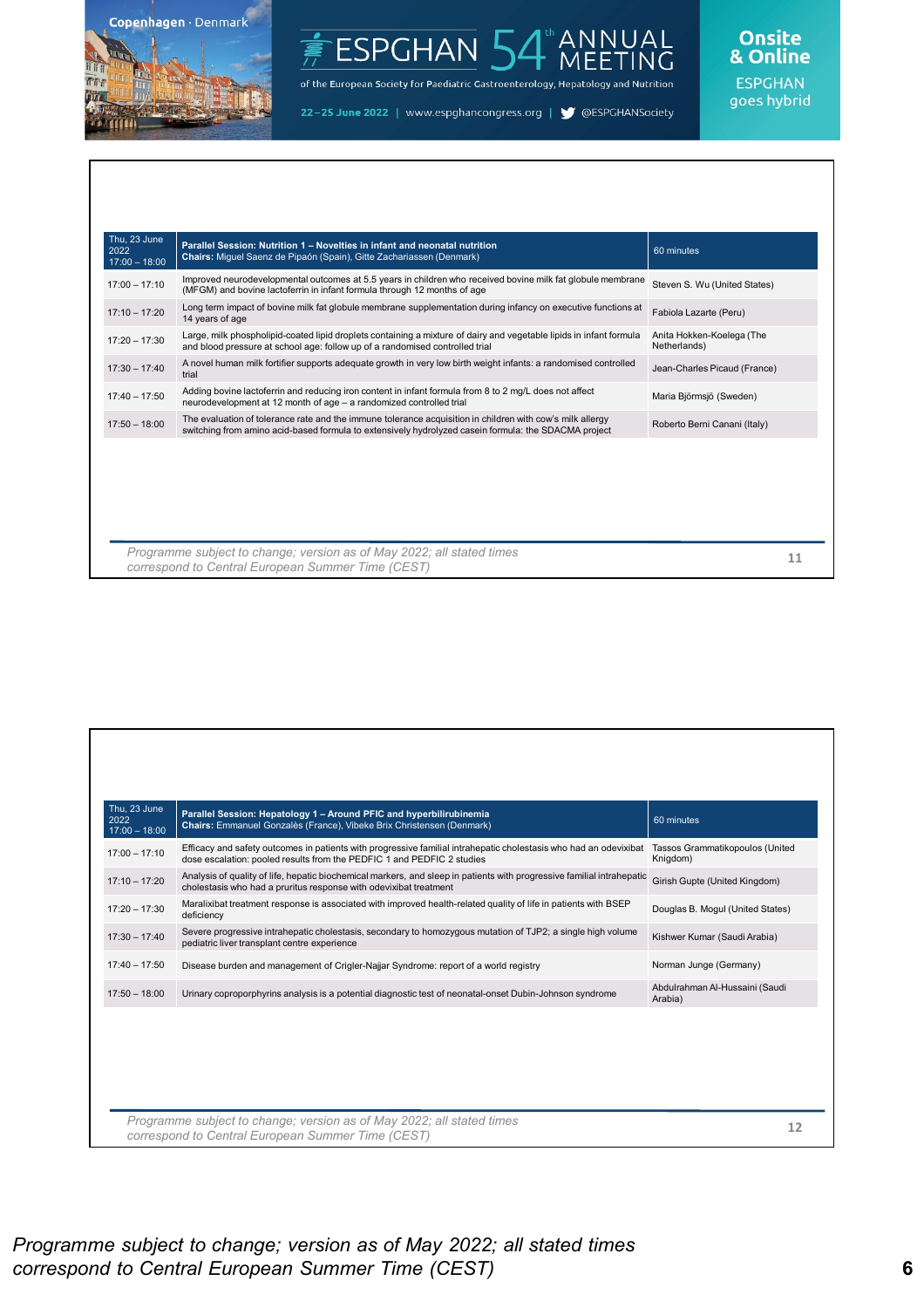

#### ANNUAL<br>MEETING ESPGHAN<sup>1</sup>

of the European Society for Paediatric Gastroenterology, Hepatology and Nutrition

22-25 June 2022 | www.espghancongress.org | S @ESPGHANSociety

## Onsite<br>& Online

| Thu. 23 June<br>2022<br>$17:00 - 18:00$ | Parallel Session: Nutrition 1 – Novelties in infant and neonatal nutrition<br>Chairs: Miguel Saenz de Pipaón (Spain), Gitte Zachariassen (Denmark)                                                                | 60 minutes                                |
|-----------------------------------------|-------------------------------------------------------------------------------------------------------------------------------------------------------------------------------------------------------------------|-------------------------------------------|
| $17:00 - 17:10$                         | Improved neurodevelopmental outcomes at 5.5 years in children who received bovine milk fat globule membrane<br>(MFGM) and bovine lactoferrin in infant formula through 12 months of age                           | Steven S. Wu (United States)              |
| $17:10 - 17:20$                         | Long term impact of bovine milk fat globule membrane supplementation during infancy on executive functions at<br>14 years of age                                                                                  | Fabiola Lazarte (Peru)                    |
| $17:20 - 17:30$                         | Large, milk phospholipid-coated lipid droplets containing a mixture of dairy and vegetable lipids in infant formula<br>and blood pressure at school age: follow up of a randomised controlled trial               | Anita Hokken-Koelega (The<br>Netherlands) |
| $17:30 - 17:40$                         | A novel human milk fortifier supports adequate growth in very low birth weight infants: a randomised controlled<br>trial                                                                                          | Jean-Charles Picaud (France)              |
| $17:40 - 17:50$                         | Adding bovine lactoferrin and reducing iron content in infant formula from 8 to 2 mg/L does not affect<br>neurodevelopment at 12 month of age - a randomized controlled trial                                     | Maria Björmsjö (Sweden)                   |
| $17:50 - 18:00$                         | The evaluation of tolerance rate and the immune tolerance acquisition in children with cow's milk allergy<br>switching from amino acid-based formula to extensively hydrolyzed casein formula: the SDACMA project | Roberto Berni Canani (Italy)              |
|                                         |                                                                                                                                                                                                                   |                                           |
|                                         |                                                                                                                                                                                                                   |                                           |
|                                         |                                                                                                                                                                                                                   |                                           |
|                                         |                                                                                                                                                                                                                   |                                           |
|                                         | Programme subject to change; version as of May 2022; all stated times<br>correspond to Central European Summer Time (CEST)                                                                                        | 11                                        |

| Thu, 23 June<br>2022<br>$17:00 - 18:00$ | Parallel Session: Hepatology 1 - Around PFIC and hyperbilirubinemia<br>Chairs: Emmanuel Gonzalès (France), Vibeke Brix Christensen (Denmark)                                                | 60 minutes                                  |
|-----------------------------------------|---------------------------------------------------------------------------------------------------------------------------------------------------------------------------------------------|---------------------------------------------|
| $17:00 - 17:10$                         | Efficacy and safety outcomes in patients with progressive familial intrahepatic cholestasis who had an odevixibat<br>dose escalation: pooled results from the PEDFIC 1 and PEDFIC 2 studies | Tassos Grammatikopoulos (United<br>Knigdom) |
| $17:10 - 17:20$                         | Analysis of quality of life, hepatic biochemical markers, and sleep in patients with progressive familial intrahepatic<br>cholestasis who had a pruritus response with odevixibat treatment | Girish Gupte (United Kingdom)               |
| $17:20 - 17:30$                         | Maralixibat treatment response is associated with improved health-related quality of life in patients with BSEP<br>deficiency                                                               | Douglas B. Mogul (United States)            |
| $17:30 - 17:40$                         | Severe progressive intrahepatic cholestasis, secondary to homozygous mutation of TJP2; a single high volume<br>pediatric liver transplant centre experience                                 | Kishwer Kumar (Saudi Arabia)                |
| $17:40 - 17:50$                         | Disease burden and management of Crigler-Najjar Syndrome: report of a world registry                                                                                                        | Norman Junge (Germany)                      |
| $17:50 - 18:00$                         | Urinary coproporphyrins analysis is a potential diagnostic test of neonatal-onset Dubin-Johnson syndrome                                                                                    | Abdulrahman Al-Hussaini (Saudi<br>Arabia)   |
|                                         |                                                                                                                                                                                             |                                             |
|                                         |                                                                                                                                                                                             |                                             |
|                                         |                                                                                                                                                                                             |                                             |
|                                         |                                                                                                                                                                                             |                                             |
|                                         | Programme subject to change; version as of May 2022; all stated times<br>correspond to Central European Summer Time (CEST)                                                                  | 12                                          |